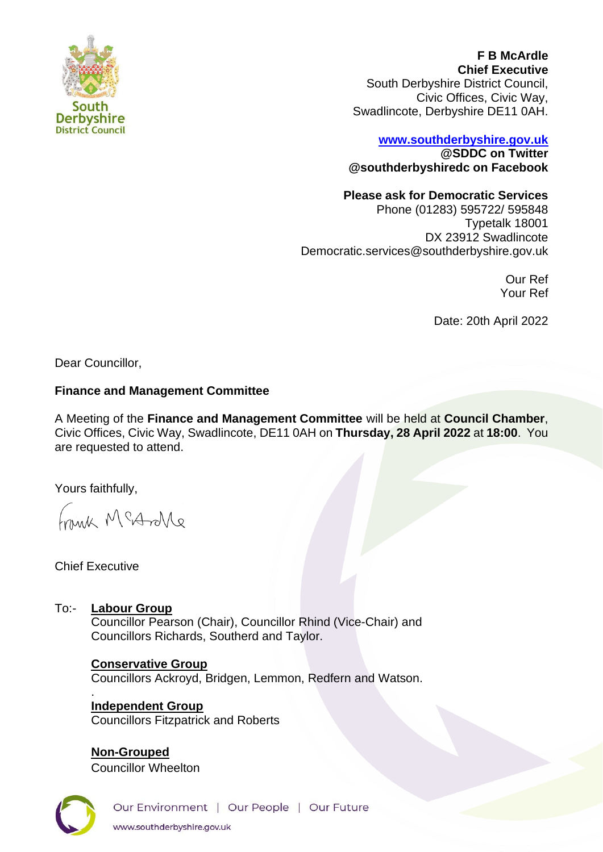

**F B McArdle Chief Executive** South Derbyshire District Council, Civic Offices, Civic Way, Swadlincote, Derbyshire DE11 0AH.

## **[www.southderbyshire.gov.uk](http://www.southderbyshire.gov.uk/) @SDDC on Twitter**

**@southderbyshiredc on Facebook**

# **Please ask for Democratic Services**

Phone (01283) 595722/ 595848 Typetalk 18001 DX 23912 Swadlincote Democratic.services@southderbyshire.gov.uk

> Our Ref Your Ref

Date: 20th April 2022

Dear Councillor,

## **Finance and Management Committee**

A Meeting of the **Finance and Management Committee** will be held at **Council Chamber**, Civic Offices, Civic Way, Swadlincote, DE11 0AH on **Thursday, 28 April 2022** at **18:00**. You are requested to attend.

Yours faithfully,

Frank McArlle

Chief Executive

To:- **Labour Group** Councillor Pearson (Chair), Councillor Rhind (Vice-Chair) and Councillors Richards, Southerd and Taylor.

> **Conservative Group**  Councillors Ackroyd, Bridgen, Lemmon, Redfern and Watson. .

**Independent Group**  Councillors Fitzpatrick and Roberts

**Non-Grouped** Councillor Wheelton



Our Environment | Our People | Our Future www.southderbyshire.gov.uk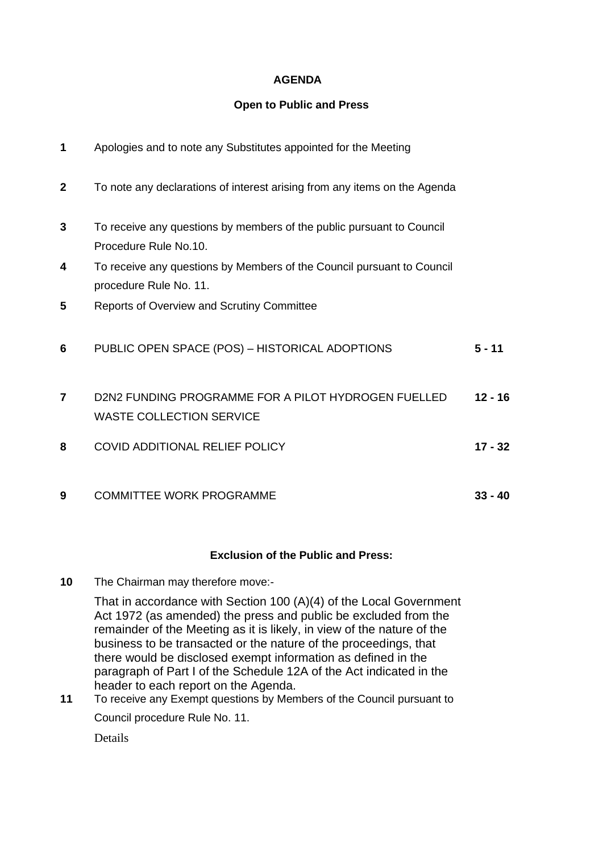## **AGENDA**

#### **Open to Public and Press**

| 1              | Apologies and to note any Substitutes appointed for the Meeting                                  |           |
|----------------|--------------------------------------------------------------------------------------------------|-----------|
| $\overline{2}$ | To note any declarations of interest arising from any items on the Agenda                        |           |
| 3              | To receive any questions by members of the public pursuant to Council<br>Procedure Rule No.10.   |           |
| 4              | To receive any questions by Members of the Council pursuant to Council<br>procedure Rule No. 11. |           |
| 5              | <b>Reports of Overview and Scrutiny Committee</b>                                                |           |
| 6              | PUBLIC OPEN SPACE (POS) - HISTORICAL ADOPTIONS                                                   | $5 - 11$  |
| $\overline{7}$ | D2N2 FUNDING PROGRAMME FOR A PILOT HYDROGEN FUELLED<br><b>WASTE COLLECTION SERVICE</b>           | $12 - 16$ |
| 8              | <b>COVID ADDITIONAL RELIEF POLICY</b>                                                            | $17 - 32$ |
| 9              | <b>COMMITTEE WORK PROGRAMME</b>                                                                  | $33 - 40$ |

#### **Exclusion of the Public and Press:**

**10** The Chairman may therefore move:-

That in accordance with Section 100 (A)(4) of the Local Government Act 1972 (as amended) the press and public be excluded from the remainder of the Meeting as it is likely, in view of the nature of the business to be transacted or the nature of the proceedings, that there would be disclosed exempt information as defined in the paragraph of Part I of the Schedule 12A of the Act indicated in the header to each report on the Agenda.

**11** To receive any Exempt questions by Members of the Council pursuant to Council procedure Rule No. 11.

**Details**